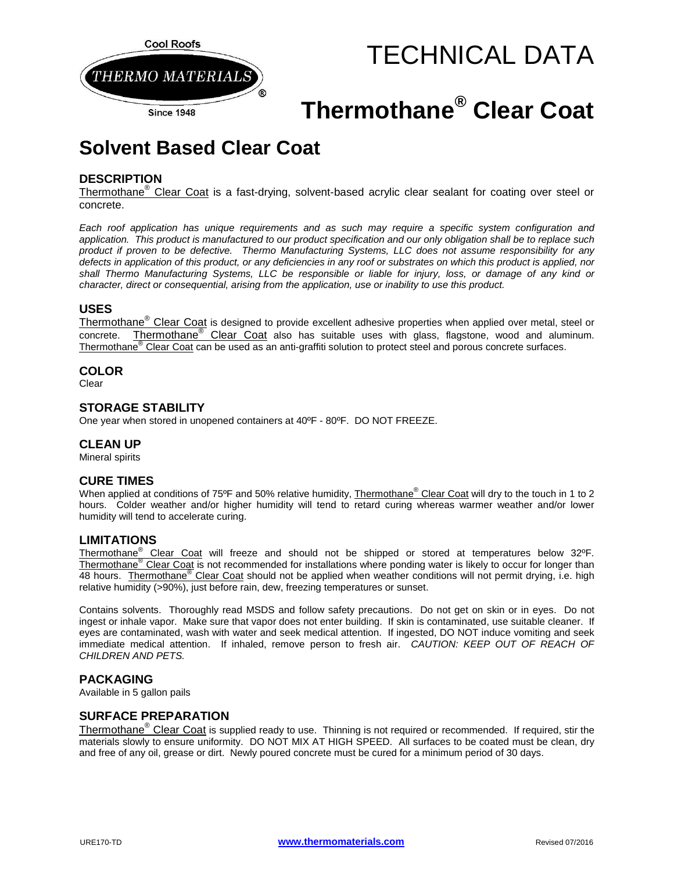

# TECHNICAL DATA

# **Thermothane® Clear Coat**

# **Solvent Based Clear Coat**

# **DESCRIPTION**

Thermothane<sup>®</sup> Clear Coat is a fast-drying, solvent-based acrylic clear sealant for coating over steel or concrete.

*Each roof application has unique requirements and as such may require a specific system configuration and application. This product is manufactured to our product specification and our only obligation shall be to replace such product if proven to be defective. Thermo Manufacturing Systems, LLC does not assume responsibility for any defects in application of this product, or any deficiencies in any roof or substrates on which this product is applied, nor shall Thermo Manufacturing Systems, LLC be responsible or liable for injury, loss, or damage of any kind or character, direct or consequential, arising from the application, use or inability to use this product.*

#### **USES**

Thermothane<sup>®</sup> Clear Coat is designed to provide excellent adhesive properties when applied over metal, steel or concrete. Thermothane® Clear Coat also has suitable uses with glass, flagstone, wood and aluminum. Thermothane® Clear Coat can be used as an anti-graffiti solution to protect steel and porous concrete surfaces.

#### **COLOR**

Clear

### **STORAGE STABILITY**

One year when stored in unopened containers at 40ºF - 80ºF. DO NOT FREEZE.

#### **CLEAN UP**

Mineral spirits

### **CURE TIMES**

When applied at conditions of 75°F and 50% relative humidity, Thermothane<sup>®</sup> Clear Coat will dry to the touch in 1 to 2 hours. Colder weather and/or higher humidity will tend to retard curing whereas warmer weather and/or lower humidity will tend to accelerate curing.

#### **LIMITATIONS**

Thermothane<sup>®</sup> Clear Coat will freeze and should not be shipped or stored at temperatures below 32°F. Thermothane<sup>®</sup> Clear Coat is not recommended for installations where ponding water is likely to occur for longer than 48 hours. Thermothane<sup>®</sup> Clear Coat should not be applied when weather conditions will not permit drying, i.e. high relative humidity (>90%), just before rain, dew, freezing temperatures or sunset.

Contains solvents. Thoroughly read MSDS and follow safety precautions. Do not get on skin or in eyes. Do not ingest or inhale vapor. Make sure that vapor does not enter building. If skin is contaminated, use suitable cleaner. If eyes are contaminated, wash with water and seek medical attention. If ingested, DO NOT induce vomiting and seek immediate medical attention. If inhaled, remove person to fresh air. *CAUTION: KEEP OUT OF REACH OF CHILDREN AND PETS.* 

#### **PACKAGING**

Available in 5 gallon pails

#### **SURFACE PREPARATION**

Thermothane<sup>®</sup> Clear Coat is supplied ready to use. Thinning is not required or recommended. If required, stir the materials slowly to ensure uniformity. DO NOT MIX AT HIGH SPEED. All surfaces to be coated must be clean, dry and free of any oil, grease or dirt. Newly poured concrete must be cured for a minimum period of 30 days.